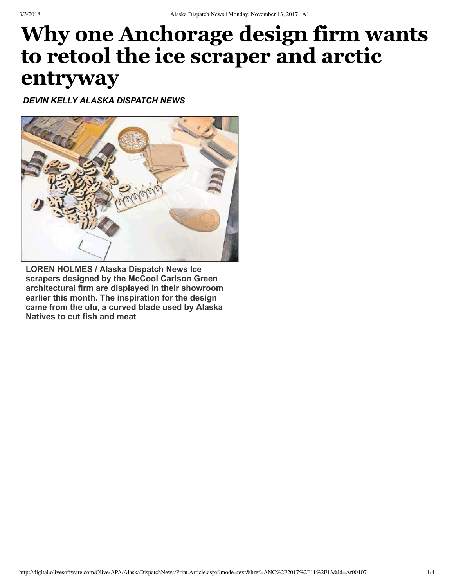## **Why one Anchorage design firm wants to retool the ice scraper and arctic entryway**

*DEVIN KELLY ALASKA DISPATCH NEWS*



**LOREN HOLMES / Alaska Dispatch News Ice scrapers designed by the McCool Carlson Green architectural firm are displayed in their showroom earlier this month. The inspiration for the design came from the ulu, a curved blade used by Alaska Natives to cut fish and meat**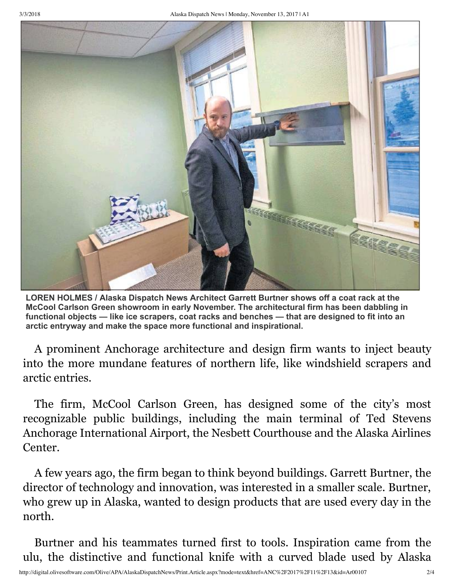

**LOREN HOLMES / Alaska Dispatch News Architect Garrett Burtner shows off a coat rack at the McCool Carlson Green showroom in early November. The architectural firm has been dabbling in functional objects — like ice scrapers, coat racks and benches — that are designed to fit into an arctic entryway and make the space more functional and inspirational.**

A prominent Anchorage architecture and design firm wants to inject beauty into the more mundane features of northern life, like windshield scrapers and arctic entries.

The firm, McCool Carlson Green, has designed some of the city's most recognizable public buildings, including the main terminal of Ted Stevens Anchorage International Airport, the Nesbett Courthouse and the Alaska Airlines Center.

A few years ago, the firm began to think beyond buildings. Garrett Burtner, the director of technology and innovation, was interested in a smaller scale. Burtner, who grew up in Alaska, wanted to design products that are used every day in the north.

Burtner and his teammates turned first to tools. Inspiration came from the ulu, the distinctive and functional knife with a curved blade used by Alaska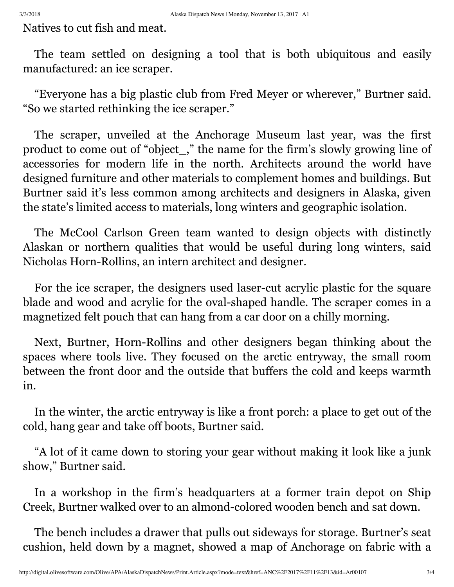Natives to cut fish and meat.

The team settled on designing a tool that is both ubiquitous and easily manufactured: an ice scraper.

"Everyone has a big plastic club from Fred Meyer or wherever," Burtner said. "So we started rethinking the ice scraper."

The scraper, unveiled at the Anchorage Museum last year, was the first product to come out of "object\_," the name for the firm's slowly growing line of accessories for modern life in the north. Architects around the world have designed furniture and other materials to complement homes and buildings. But Burtner said it's less common among architects and designers in Alaska, given the state's limited access to materials, long winters and geographic isolation.

The McCool Carlson Green team wanted to design objects with distinctly Alaskan or northern qualities that would be useful during long winters, said Nicholas Horn-Rollins, an intern architect and designer.

For the ice scraper, the designers used laser-cut acrylic plastic for the square blade and wood and acrylic for the oval-shaped handle. The scraper comes in a magnetized felt pouch that can hang from a car door on a chilly morning.

Next, Burtner, Horn-Rollins and other designers began thinking about the spaces where tools live. They focused on the arctic entryway, the small room between the front door and the outside that buffers the cold and keeps warmth in.

In the winter, the arctic entryway is like a front porch: a place to get out of the cold, hang gear and take off boots, Burtner said.

"A lot of it came down to storing your gear without making it look like a junk show," Burtner said.

In a workshop in the firm's headquarters at a former train depot on Ship Creek, Burtner walked over to an almond-colored wooden bench and sat down.

The bench includes a drawer that pulls out sideways for storage. Burtner's seat cushion, held down by a magnet, showed a map of Anchorage on fabric with a